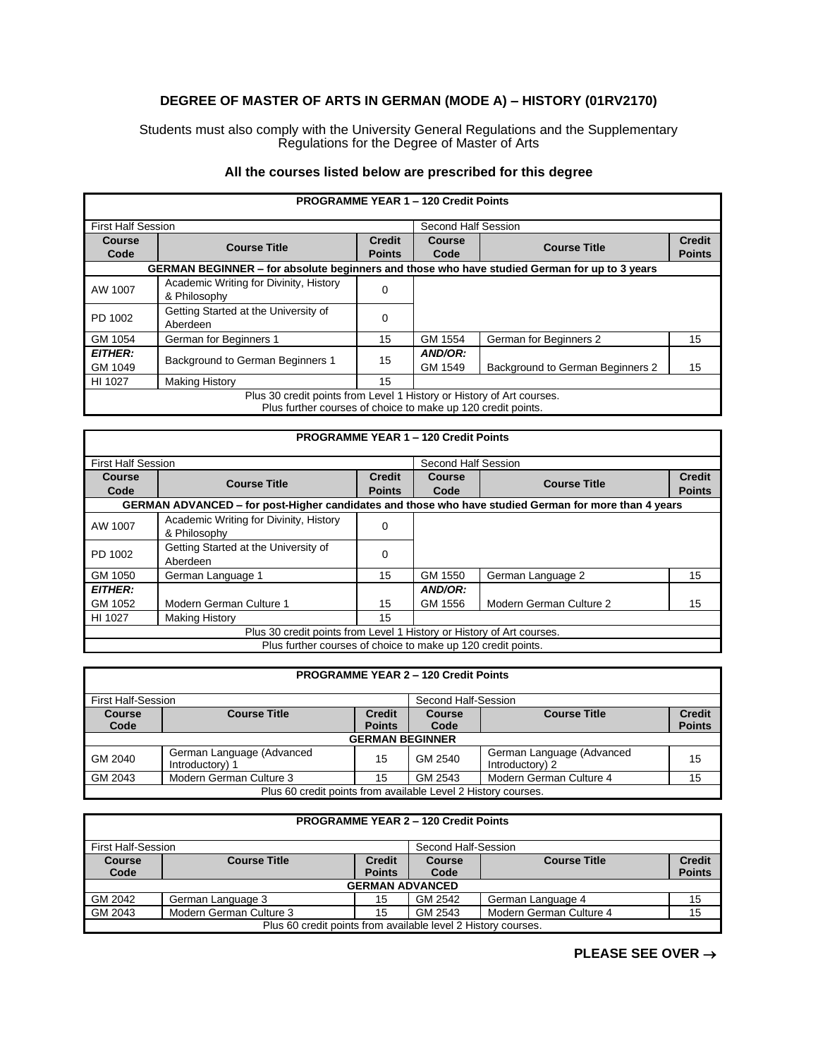## **DEGREE OF MASTER OF ARTS IN GERMAN (MODE A) – HISTORY (01RV2170)**

Students must also comply with the University General Regulations and the Supplementary Regulations for the Degree of Master of Arts

## **All the courses listed below are prescribed for this degree**

|                           | <b>PROGRAMME YEAR 1 - 120 Credit Points</b>                                                                                           |                                |                       |                                  |                                |
|---------------------------|---------------------------------------------------------------------------------------------------------------------------------------|--------------------------------|-----------------------|----------------------------------|--------------------------------|
| <b>First Half Session</b> |                                                                                                                                       |                                | Second Half Session   |                                  |                                |
| Course<br>Code            | <b>Course Title</b>                                                                                                                   | <b>Credit</b><br><b>Points</b> | <b>Course</b><br>Code | <b>Course Title</b>              | <b>Credit</b><br><b>Points</b> |
|                           | GERMAN BEGINNER - for absolute beginners and those who have studied German for up to 3 years                                          |                                |                       |                                  |                                |
| AW 1007                   | Academic Writing for Divinity, History<br>& Philosophy                                                                                | 0                              |                       |                                  |                                |
| PD 1002                   | Getting Started at the University of<br>Aberdeen                                                                                      | 0                              |                       |                                  |                                |
| GM 1054                   | German for Beginners 1                                                                                                                | 15                             | GM 1554               | German for Beginners 2           | 15                             |
| <b>EITHER:</b><br>GM 1049 | Background to German Beginners 1                                                                                                      | 15                             | AND/OR:<br>GM 1549    | Background to German Beginners 2 | 15                             |
| HI 1027                   | <b>Making History</b>                                                                                                                 | 15                             |                       |                                  |                                |
|                           | Plus 30 credit points from Level 1 History or History of Art courses.<br>Plus further courses of choice to make up 120 credit points. |                                |                       |                                  |                                |

|                           | <b>PROGRAMME YEAR 1 - 120 Credit Points</b>                                                          |                                |                     |                         |                                |
|---------------------------|------------------------------------------------------------------------------------------------------|--------------------------------|---------------------|-------------------------|--------------------------------|
| <b>First Half Session</b> |                                                                                                      |                                | Second Half Session |                         |                                |
| Course<br>Code            | <b>Course Title</b>                                                                                  | <b>Credit</b><br><b>Points</b> | Course<br>Code      | <b>Course Title</b>     | <b>Credit</b><br><b>Points</b> |
|                           | GERMAN ADVANCED – for post-Higher candidates and those who have studied German for more than 4 years |                                |                     |                         |                                |
| AW 1007                   | Academic Writing for Divinity, History<br>& Philosophy                                               | 0                              |                     |                         |                                |
| PD 1002                   | Getting Started at the University of<br>Aberdeen                                                     | 0                              |                     |                         |                                |
| GM 1050                   | German Language 1                                                                                    | 15                             | GM 1550             | German Language 2       | 15                             |
| <b>EITHER:</b>            |                                                                                                      |                                | AND/OR:             |                         |                                |
| GM 1052                   | Modern German Culture 1                                                                              | 15                             | GM 1556             | Modern German Culture 2 | 15                             |
| HI 1027                   | <b>Making History</b>                                                                                | 15                             |                     |                         |                                |
|                           | Plus 30 credit points from Level 1 History or History of Art courses.                                |                                |                     |                         |                                |
|                           | Plus further courses of choice to make up 120 credit points.                                         |                                |                     |                         |                                |

|                       | <b>PROGRAMME YEAR 2 - 120 Credit Points</b>                   |                                |                       |                                              |                                |  |
|-----------------------|---------------------------------------------------------------|--------------------------------|-----------------------|----------------------------------------------|--------------------------------|--|
|                       | First Half-Session<br>Second Half-Session                     |                                |                       |                                              |                                |  |
| <b>Course</b><br>Code | <b>Course Title</b>                                           | <b>Credit</b><br><b>Points</b> | <b>Course</b><br>Code | <b>Course Title</b>                          | <b>Credit</b><br><b>Points</b> |  |
|                       |                                                               | <b>GERMAN BEGINNER</b>         |                       |                                              |                                |  |
| GM 2040               | German Language (Advanced<br>Introductory) 1                  | 15                             | GM 2540               | German Language (Advanced<br>Introductory) 2 | 15                             |  |
| GM 2043               | Modern German Culture 3                                       | 15                             | GM 2543               | Modern German Culture 4                      | 15                             |  |
|                       | Plus 60 credit points from available Level 2 History courses. |                                |                       |                                              |                                |  |

|               | <b>PROGRAMME YEAR 2 - 120 Credit Points</b>                   |               |         |                         |               |  |
|---------------|---------------------------------------------------------------|---------------|---------|-------------------------|---------------|--|
|               | <b>First Half-Session</b><br>Second Half-Session              |               |         |                         |               |  |
| <b>Course</b> | <b>Course Title</b>                                           | <b>Credit</b> | Course  | <b>Course Title</b>     | <b>Credit</b> |  |
| Code          |                                                               | <b>Points</b> | Code    |                         | <b>Points</b> |  |
|               | <b>GERMAN ADVANCED</b>                                        |               |         |                         |               |  |
| GM 2042       | German Language 3                                             | 15            | GM 2542 | German Language 4       | 15            |  |
| GM 2043       | Modern German Culture 3                                       | 15            | GM 2543 | Modern German Culture 4 | 15            |  |
|               | Plus 60 credit points from available level 2 History courses. |               |         |                         |               |  |

**PLEASE SEE OVER** →